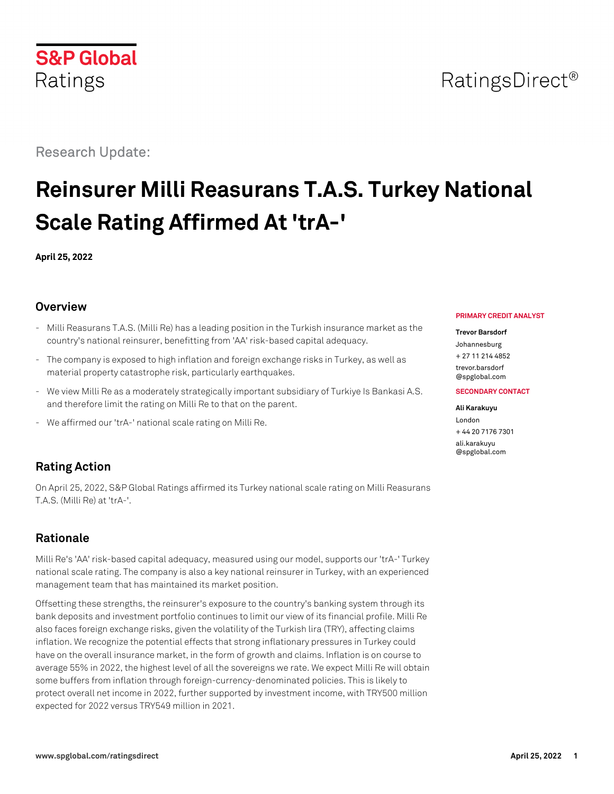# RatingsDirect<sup>®</sup>

Research Update:

# **Reinsurer Milli Reasurans T.A.S. Turkey National Scale Rating Affirmed At 'trA-'**

**April 25, 2022**

## **Overview**

- Milli Reasurans T.A.S. (Milli Re) has a leading position in the Turkish insurance market as the country's national reinsurer, benefitting from 'AA' risk-based capital adequacy.
- The company is exposed to high inflation and foreign exchange risks in Turkey, as well as material property catastrophe risk, particularly earthquakes.
- We view Milli Re as a moderately strategically important subsidiary of Turkiye Is Bankasi A.S. and therefore limit the rating on Milli Re to that on the parent.
- We affirmed our 'trA-' national scale rating on Milli Re.

## **Rating Action**

On April 25, 2022, S&P Global Ratings affirmed its Turkey national scale rating on Milli Reasurans T.A.S. (Milli Re) at 'trA-'.

## **Rationale**

Milli Re's 'AA' risk-based capital adequacy, measured using our model, supports our 'trA-' Turkey national scale rating. The company is also a key national reinsurer in Turkey, with an experienced management team that has maintained its market position.

Offsetting these strengths, the reinsurer's exposure to the country's banking system through its bank deposits and investment portfolio continues to limit our view of its financial profile. Milli Re also faces foreign exchange risks, given the volatility of the Turkish lira (TRY), affecting claims inflation. We recognize the potential effects that strong inflationary pressures in Turkey could have on the overall insurance market, in the form of growth and claims. Inflation is on course to average 55% in 2022, the highest level of all the sovereigns we rate. We expect Milli Re will obtain some buffers from inflation through foreign-currency-denominated policies. This is likely to protect overall net income in 2022, further supported by investment income, with TRY500 million expected for 2022 versus TRY549 million in 2021.

#### **PRIMARY CREDIT ANALYST**

#### **Trevor Barsdorf**

Johannesburg + 27 11 214 4852 [trevor.barsdorf](mailto:trevor.barsdorf@spglobal.com)

[@spglobal.com](mailto:trevor.barsdorf@spglobal.com)

#### **SECONDARY CONTACT**

#### **Ali Karakuyu**

London + 44 20 7176 7301 [ali.karakuyu](mailto:ali.karakuyu@spglobal.com) [@spglobal.com](mailto:ali.karakuyu@spglobal.com)

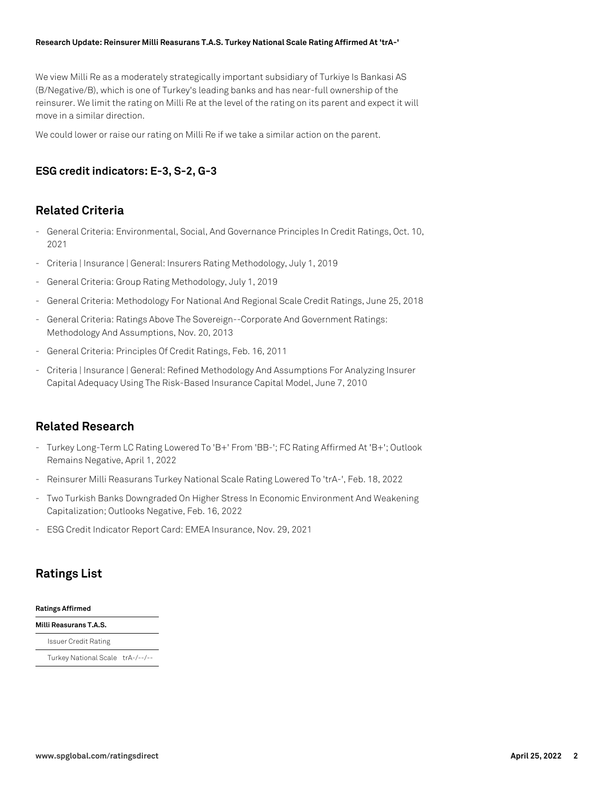#### **Research Update: Reinsurer Milli Reasurans T.A.S. Turkey National Scale Rating Affirmed At 'trA-'**

We view Milli Re as a moderately strategically important subsidiary of Turkiye Is Bankasi AS (B/Negative/B), which is one of Turkey's leading banks and has near-full ownership of the reinsurer. We limit the rating on Milli Re at the level of the rating on its parent and expect it will move in a similar direction.

We could lower or raise our rating on Milli Re if we take a similar action on the parent.

## **ESG credit indicators: E-3, S-2, G-3**

### **Related Criteria**

- General Criteria: Environmental, Social, And Governance Principles In Credit Ratings, Oct. 10, 2021
- Criteria | Insurance | General: Insurers Rating Methodology, July 1, 2019
- General Criteria: Group Rating Methodology, July 1, 2019
- General Criteria: Methodology For National And Regional Scale Credit Ratings, June 25, 2018
- General Criteria: Ratings Above The Sovereign--Corporate And Government Ratings: Methodology And Assumptions, Nov. 20, 2013
- General Criteria: Principles Of Credit Ratings, Feb. 16, 2011
- Criteria | Insurance | General: Refined Methodology And Assumptions For Analyzing Insurer Capital Adequacy Using The Risk-Based Insurance Capital Model, June 7, 2010

### **Related Research**

- Turkey Long-Term LC Rating Lowered To 'B+' From 'BB-'; FC Rating Affirmed At 'B+'; Outlook Remains Negative, April 1, 2022
- Reinsurer Milli Reasurans Turkey National Scale Rating Lowered To 'trA-', Feb. 18, 2022
- Two Turkish Banks Downgraded On Higher Stress In Economic Environment And Weakening Capitalization; Outlooks Negative, Feb. 16, 2022
- ESG Credit Indicator Report Card: EMEA Insurance, Nov. 29, 2021

## **Ratings List**

#### **Ratings Affirmed**

**Milli Reasurans T.A.S.** Issuer Credit Rating Turkey National Scale trA-/--/--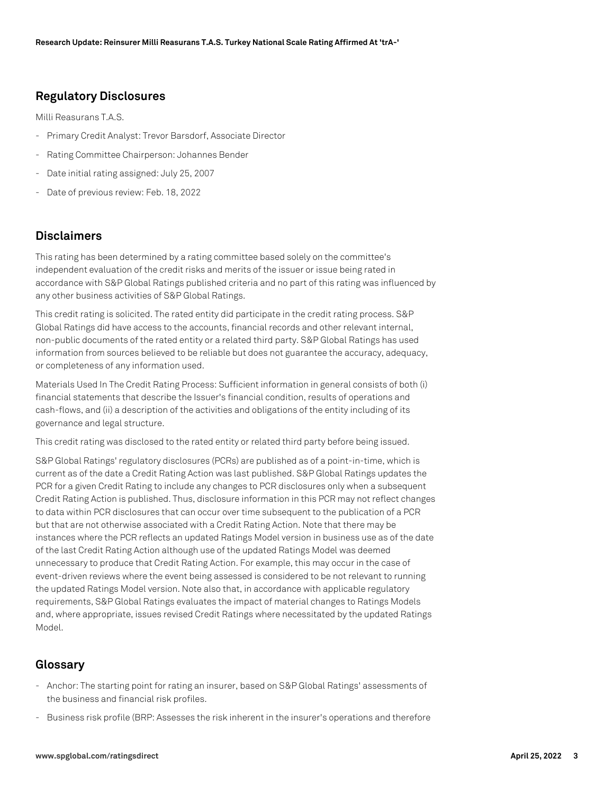## **Regulatory Disclosures**

Milli Reasurans T.A.S.

- Primary Credit Analyst: Trevor Barsdorf, Associate Director
- Rating Committee Chairperson: Johannes Bender
- Date initial rating assigned: July 25, 2007
- Date of previous review: Feb. 18, 2022

## **Disclaimers**

This rating has been determined by a rating committee based solely on the committee's independent evaluation of the credit risks and merits of the issuer or issue being rated in accordance with S&P Global Ratings published criteria and no part of this rating was influenced by any other business activities of S&P Global Ratings.

This credit rating is solicited. The rated entity did participate in the credit rating process. S&P Global Ratings did have access to the accounts, financial records and other relevant internal, non-public documents of the rated entity or a related third party. S&P Global Ratings has used information from sources believed to be reliable but does not guarantee the accuracy, adequacy, or completeness of any information used.

Materials Used In The Credit Rating Process: Sufficient information in general consists of both (i) financial statements that describe the Issuer's financial condition, results of operations and cash-flows, and (ii) a description of the activities and obligations of the entity including of its governance and legal structure.

This credit rating was disclosed to the rated entity or related third party before being issued.

S&P Global Ratings' regulatory disclosures (PCRs) are published as of a point-in-time, which is current as of the date a Credit Rating Action was last published. S&P Global Ratings updates the PCR for a given Credit Rating to include any changes to PCR disclosures only when a subsequent Credit Rating Action is published. Thus, disclosure information in this PCR may not reflect changes to data within PCR disclosures that can occur over time subsequent to the publication of a PCR but that are not otherwise associated with a Credit Rating Action. Note that there may be instances where the PCR reflects an updated Ratings Model version in business use as of the date of the last Credit Rating Action although use of the updated Ratings Model was deemed unnecessary to produce that Credit Rating Action. For example, this may occur in the case of event-driven reviews where the event being assessed is considered to be not relevant to running the updated Ratings Model version. Note also that, in accordance with applicable regulatory requirements, S&P Global Ratings evaluates the impact of material changes to Ratings Models and, where appropriate, issues revised Credit Ratings where necessitated by the updated Ratings Model.

### **Glossary**

- Anchor: The starting point for rating an insurer, based on S&P Global Ratings' assessments of the business and financial risk profiles.
- Business risk profile (BRP: Assesses the risk inherent in the insurer's operations and therefore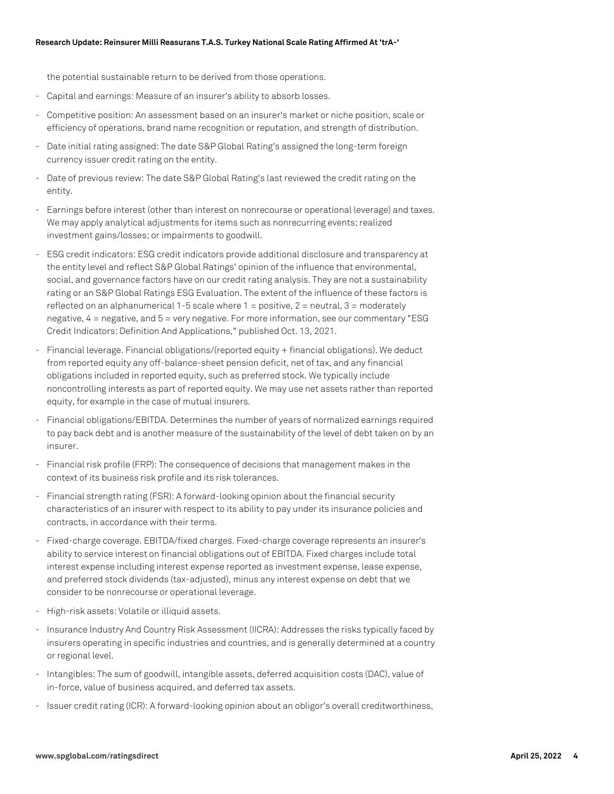the potential sustainable return to be derived from those operations.

- Capital and earnings: Measure of an insurer's ability to absorb losses.
- Competitive position: An assessment based on an insurer's market or niche position, scale or efficiency of operations, brand name recognition or reputation, and strength of distribution.
- Date initial rating assigned: The date S&P Global Rating's assigned the long-term foreign currency issuer credit rating on the entity.
- Date of previous review: The date S&P Global Rating's last reviewed the credit rating on the entity.
- Earnings before interest (other than interest on nonrecourse or operational leverage) and taxes. We may apply analytical adjustments for items such as nonrecurring events; realized investment gains/losses; or impairments to goodwill.
- ESG credit indicators: ESG credit indicators provide additional disclosure and transparency at the entity level and reflect S&P Global Ratings' opinion of the influence that environmental, social, and governance factors have on our credit rating analysis. They are not a sustainability rating or an S&P Global Ratings ESG Evaluation. The extent of the influence of these factors is reflected on an alphanumerical 1-5 scale where  $1 =$  positive,  $2 =$  neutral,  $3 =$  moderately negative, 4 = negative, and 5 = very negative. For more information, see our commentary "ESG Credit Indicators: Definition And Applications," published Oct. 13, 2021.
- Financial leverage. Financial obligations/(reported equity + financial obligations). We deduct from reported equity any off-balance-sheet pension deficit, net of tax, and any financial obligations included in reported equity, such as preferred stock. We typically include noncontrolling interests as part of reported equity. We may use net assets rather than reported equity, for example in the case of mutual insurers.
- Financial obligations/EBITDA. Determines the number of years of normalized earnings required to pay back debt and is another measure of the sustainability of the level of debt taken on by an insurer.
- Financial risk profile (FRP): The consequence of decisions that management makes in the context of its business risk profile and its risk tolerances.
- Financial strength rating (FSR): A forward-looking opinion about the financial security characteristics of an insurer with respect to its ability to pay under its insurance policies and contracts, in accordance with their terms.
- Fixed-charge coverage. EBITDA/fixed charges. Fixed-charge coverage represents an insurer's ability to service interest on financial obligations out of EBITDA. Fixed charges include total interest expense including interest expense reported as investment expense, lease expense, and preferred stock dividends (tax-adjusted), minus any interest expense on debt that we consider to be nonrecourse or operational leverage.
- High-risk assets: Volatile or illiquid assets.
- Insurance Industry And Country Risk Assessment (IICRA): Addresses the risks typically faced by insurers operating in specific industries and countries, and is generally determined at a country or regional level.
- Intangibles: The sum of goodwill, intangible assets, deferred acquisition costs (DAC), value of in-force, value of business acquired, and deferred tax assets.
- Issuer credit rating (ICR): A forward-looking opinion about an obligor's overall creditworthiness,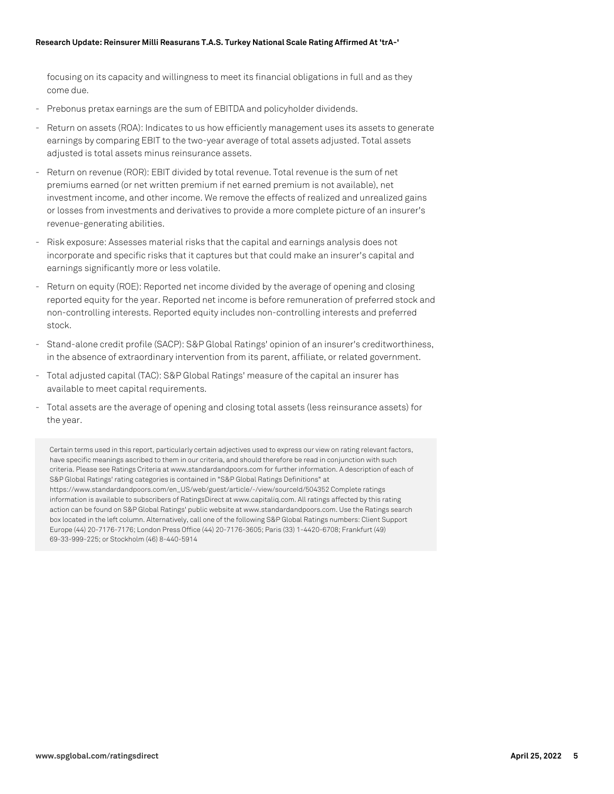#### **Research Update: Reinsurer Milli Reasurans T.A.S. Turkey National Scale Rating Affirmed At 'trA-'**

focusing on its capacity and willingness to meet its financial obligations in full and as they come due.

- Prebonus pretax earnings are the sum of EBITDA and policyholder dividends.
- Return on assets (ROA): Indicates to us how efficiently management uses its assets to generate earnings by comparing EBIT to the two-year average of total assets adjusted. Total assets adjusted is total assets minus reinsurance assets.
- Return on revenue (ROR): EBIT divided by total revenue. Total revenue is the sum of net premiums earned (or net written premium if net earned premium is not available), net investment income, and other income. We remove the effects of realized and unrealized gains or losses from investments and derivatives to provide a more complete picture of an insurer's revenue-generating abilities.
- Risk exposure: Assesses material risks that the capital and earnings analysis does not incorporate and specific risks that it captures but that could make an insurer's capital and earnings significantly more or less volatile.
- Return on equity (ROE): Reported net income divided by the average of opening and closing reported equity for the year. Reported net income is before remuneration of preferred stock and non-controlling interests. Reported equity includes non-controlling interests and preferred stock.
- Stand-alone credit profile (SACP): S&P Global Ratings' opinion of an insurer's creditworthiness, in the absence of extraordinary intervention from its parent, affiliate, or related government.
- Total adjusted capital (TAC): S&P Global Ratings' measure of the capital an insurer has available to meet capital requirements.
- Total assets are the average of opening and closing total assets (less reinsurance assets) for the year.

Certain terms used in this report, particularly certain adjectives used to express our view on rating relevant factors, have specific meanings ascribed to them in our criteria, and should therefore be read in conjunction with such criteria. Please see Ratings Criteria at www.standardandpoors.com for further information. A description of each of S&P Global Ratings' rating categories is contained in "S&P Global Ratings Definitions" at https://www.standardandpoors.com/en\_US/web/guest/article/-/view/sourceId/504352 Complete ratings information is available to subscribers of RatingsDirect at www.capitaliq.com. All ratings affected by this rating action can be found on S&P Global Ratings' public website at www.standardandpoors.com. Use the Ratings search box located in the left column. Alternatively, call one of the following S&P Global Ratings numbers: Client Support Europe (44) 20-7176-7176; London Press Office (44) 20-7176-3605; Paris (33) 1-4420-6708; Frankfurt (49) 69-33-999-225; or Stockholm (46) 8-440-5914